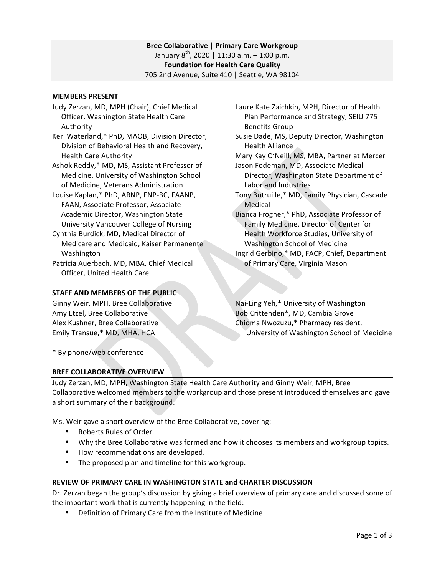## **MEMBERS PRESENT**

Judy Zerzan, MD, MPH (Chair), Chief Medical Officer, Washington State Health Care Authority Keri Waterland,\* PhD, MAOB, Division Director, Division of Behavioral Health and Recovery, Health Care Authority Ashok Reddy,\* MD, MS, Assistant Professor of Medicine, University of Washington School of Medicine, Veterans Administration Louise Kaplan,\* PhD, ARNP, FNP-BC, FAANP, FAAN, Associate Professor, Associate Academic Director, Washington State University Vancouver College of Nursing Cynthia Burdick, MD, Medical Director of Medicare and Medicaid, Kaiser Permanente Washington Patricia Auerbach, MD, MBA, Chief Medical Officer, United Health Care Benefits Group Health Alliance Labor and Industries Medical

### **STAFF AND MEMBERS OF THE PUBLIC**

Ginny Weir, MPH, Bree Collaborative Amy Etzel, Bree Collaborative Alex Kushner, Bree Collaborative Emily Transue,\* MD, MHA, HCA

Laure Kate Zaichkin, MPH, Director of Health Plan Performance and Strategy, SEIU 775

Susie Dade, MS, Deputy Director, Washington

Mary Kay O'Neill, MS, MBA, Partner at Mercer Jason Fodeman, MD, Associate Medical

Director, Washington State Department of

Tony Butruille,\* MD, Family Physician, Cascade

Bianca Frogner,\* PhD, Associate Professor of Family Medicine, Director of Center for Health Workforce Studies, University of Washington School of Medicine

Ingrid Gerbino,\* MD, FACP, Chief, Department of Primary Care, Virginia Mason

Nai-Ling Yeh,\* University of Washington Bob Crittenden\*, MD, Cambia Grove Chioma Nwozuzu,\* Pharmacy resident, University of Washington School of Medicine

\* By phone/web conference

# **BREE COLLABORATIVE OVERVIEW**

Judy Zerzan, MD, MPH, Washington State Health Care Authority and Ginny Weir, MPH, Bree Collaborative welcomed members to the workgroup and those present introduced themselves and gave a short summary of their background.

Ms. Weir gave a short overview of the Bree Collaborative, covering:

- Roberts Rules of Order.
- Why the Bree Collaborative was formed and how it chooses its members and workgroup topics.
- How recommendations are developed.
- The proposed plan and timeline for this workgroup.

# **REVIEW OF PRIMARY CARE IN WASHINGTON STATE and CHARTER DISCUSSION**

Dr. Zerzan began the group's discussion by giving a brief overview of primary care and discussed some of the important work that is currently happening in the field:

• Definition of Primary Care from the Institute of Medicine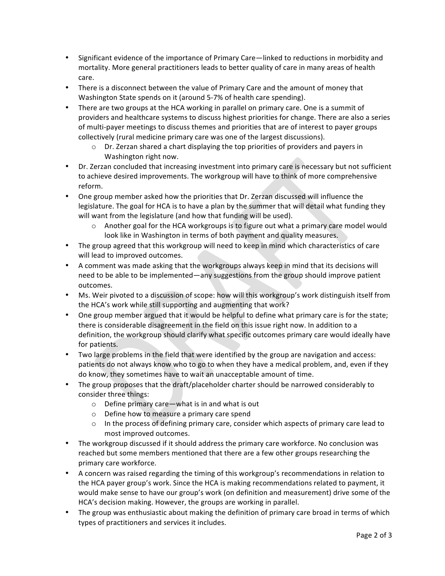- Significant evidence of the importance of Primary Care—linked to reductions in morbidity and mortality. More general practitioners leads to better quality of care in many areas of health care.
- There is a disconnect between the value of Primary Care and the amount of money that Washington State spends on it (around 5-7% of health care spending).
- There are two groups at the HCA working in parallel on primary care. One is a summit of providers and healthcare systems to discuss highest priorities for change. There are also a series of multi-payer meetings to discuss themes and priorities that are of interest to payer groups collectively (rural medicine primary care was one of the largest discussions).
	- $\circ$  Dr. Zerzan shared a chart displaying the top priorities of providers and payers in Washington right now.
- Dr. Zerzan concluded that increasing investment into primary care is necessary but not sufficient to achieve desired improvements. The workgroup will have to think of more comprehensive reform.
- One group member asked how the priorities that Dr. Zerzan discussed will influence the legislature. The goal for HCA is to have a plan by the summer that will detail what funding they will want from the legislature (and how that funding will be used).
	- $\circ$  Another goal for the HCA workgroups is to figure out what a primary care model would look like in Washington in terms of both payment and quality measures.
- The group agreed that this workgroup will need to keep in mind which characteristics of care will lead to improved outcomes.
- A comment was made asking that the workgroups always keep in mind that its decisions will need to be able to be implemented—any suggestions from the group should improve patient outcomes.
- Ms. Weir pivoted to a discussion of scope: how will this workgroup's work distinguish itself from the HCA's work while still supporting and augmenting that work?
- One group member argued that it would be helpful to define what primary care is for the state; there is considerable disagreement in the field on this issue right now. In addition to a definition, the workgroup should clarify what specific outcomes primary care would ideally have for patients.
- Two large problems in the field that were identified by the group are navigation and access: patients do not always know who to go to when they have a medical problem, and, even if they do know, they sometimes have to wait an unacceptable amount of time.
- The group proposes that the draft/placeholder charter should be narrowed considerably to consider three things:
	- $\circ$  Define primary care—what is in and what is out
	- $\circ$  Define how to measure a primary care spend
	- $\circ$  In the process of defining primary care, consider which aspects of primary care lead to most improved outcomes.
- The workgroup discussed if it should address the primary care workforce. No conclusion was reached but some members mentioned that there are a few other groups researching the primary care workforce.
- A concern was raised regarding the timing of this workgroup's recommendations in relation to the HCA payer group's work. Since the HCA is making recommendations related to payment, it would make sense to have our group's work (on definition and measurement) drive some of the HCA's decision making. However, the groups are working in parallel.
- The group was enthusiastic about making the definition of primary care broad in terms of which types of practitioners and services it includes.